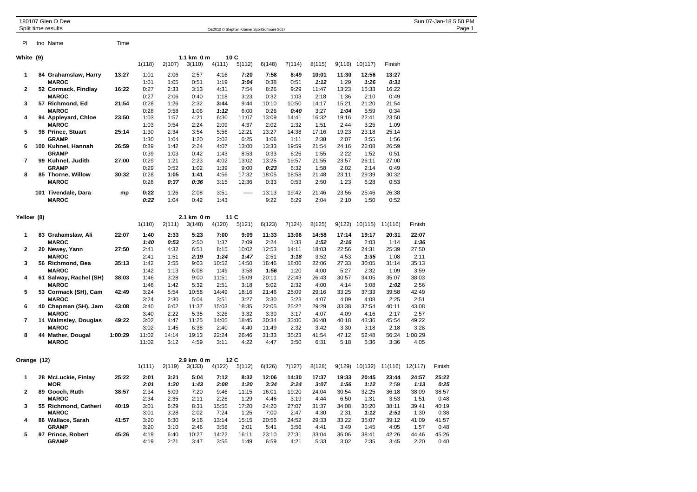|                | 180107 Glen O Dee<br>Split time results |         |        |        |             |        |         | OE2010 © Stephan Krämer SportSoftware 2017 |        |        |       |                          |                                |           | Sun 07-Jan-18 5:50 PM<br>Page 1 |
|----------------|-----------------------------------------|---------|--------|--------|-------------|--------|---------|--------------------------------------------|--------|--------|-------|--------------------------|--------------------------------|-----------|---------------------------------|
|                |                                         |         |        |        |             |        |         |                                            |        |        |       |                          |                                |           |                                 |
| <b>PI</b>      | tno Name                                | Time    |        |        |             |        |         |                                            |        |        |       |                          |                                |           |                                 |
| White (9)      |                                         |         |        |        | 1.1 km 0 m  |        | 10C     |                                            |        |        |       |                          |                                |           |                                 |
|                |                                         |         | 1(118) | 2(107) | 3(110)      | 4(111) | 5(112)  | 6(148)                                     | 7(114) | 8(115) |       | $9(116)$ $10(117)$       | Finish                         |           |                                 |
| $\mathbf 1$    | 84 Grahamslaw, Harry                    | 13:27   | 1:01   | 2:06   | 2:57        | 4:16   | 7:20    | 7:58                                       | 8:49   | 10:01  | 11:30 | 12:56                    | 13:27                          |           |                                 |
|                | <b>MAROC</b>                            |         | 1:01   | 1:05   | 0:51        | 1:19   | 3:04    | 0:38                                       | 0:51   | 1:12   | 1:29  | 1:26                     | 0:31                           |           |                                 |
| $\mathbf{2}$   | 52 Cormack, Findlay                     | 16:22   | 0:27   | 2:33   | 3:13        | 4:31   | 7:54    | 8:26                                       | 9:29   | 11:47  | 13:23 | 15:33                    | 16:22                          |           |                                 |
|                | <b>MAROC</b>                            |         | 0:27   | 2:06   | 0:40        | 1:18   | 3:23    | 0:32                                       | 1:03   | 2:18   | 1:36  | 2:10                     | 0:49                           |           |                                 |
| 3              | 57 Richmond, Ed                         | 21:54   | 0:28   | 1:26   | 2:32        | 3:44   | 9:44    | 10:10                                      | 10:50  | 14:17  | 15:21 | 21:20                    | 21:54                          |           |                                 |
|                | <b>MAROC</b>                            |         | 0:28   | 0:58   | 1:06        | 1:12   | 6:00    | 0:26                                       | 0:40   | 3:27   | 1:04  | 5:59                     | 0:34                           |           |                                 |
| 4              | 94 Appleyard, Chloe                     | 23:50   | 1:03   | 1:57   | 4:21        | 6:30   | 11:07   | 13:09                                      | 14:41  | 16:32  | 19:16 | 22:41                    | 23:50                          |           |                                 |
|                | <b>MAROC</b>                            |         | 1:03   | 0:54   | 2:24        | 2:09   | 4:37    | 2:02                                       | 1:32   | 1:51   | 2:44  | 3:25                     | 1:09                           |           |                                 |
| 5              | 98 Prince, Stuart                       | 25:14   | 1:30   | 2:34   | 3:54        | 5:56   | 12:21   | 13:27                                      | 14:38  | 17:16  | 19:23 | 23:18                    | 25:14                          |           |                                 |
|                | <b>GRAMP</b>                            |         | 1:30   | 1:04   | 1:20        | 2:02   | 6:25    | 1:06                                       | 1:11   | 2:38   | 2:07  | 3:55                     | 1:56                           |           |                                 |
| 6              | 100 Kuhnel, Hannah                      | 26:59   | 0:39   | 1:42   | 2:24        | 4:07   | 13:00   | 13:33                                      | 19:59  | 21:54  | 24:16 | 26:08                    | 26:59                          |           |                                 |
|                | <b>GRAMP</b>                            |         | 0:39   | 1:03   | 0:42        | 1:43   | 8:53    | 0:33                                       | 6:26   | 1:55   | 2:22  | 1:52                     | 0:51                           |           |                                 |
| $\overline{7}$ | 99 Kuhnel, Judith                       | 27:00   | 0:29   | 1:21   | 2:23        | 4:02   | 13:02   | 13:25                                      | 19:57  | 21:55  | 23:57 | 26:11                    | 27:00                          |           |                                 |
|                | <b>GRAMP</b>                            |         | 0:29   | 0:52   | 1:02        | 1:39   | 9:00    | 0:23                                       | 6:32   | 1:58   | 2:02  | 2:14                     | 0:49                           |           |                                 |
| 8              | 85 Thorne, Willow                       | 30:32   | 0:28   | 1:05   | 1:41        | 4:56   | 17:32   | 18:05                                      | 18:58  | 21:48  | 23:11 | 29:39                    | 30:32                          |           |                                 |
|                | <b>MAROC</b>                            |         | 0:28   | 0:37   | 0:36        | 3:15   | 12:36   | 0:33                                       | 0:53   | 2:50   | 1:23  | 6:28                     | 0:53                           |           |                                 |
|                | 101 Tivendale, Dara                     | mp      | 0:22   | 1:26   | 2:08        | 3:51   | 1.1.1.1 | 13:13                                      | 19:42  | 21:46  | 23:56 | 25:46                    | 26:38                          |           |                                 |
|                | <b>MAROC</b>                            |         | 0:22   | 1:04   | 0:42        | 1:43   |         | 9:22                                       | 6:29   | 2:04   | 2:10  | 1:50                     | 0:52                           |           |                                 |
| Yellow (8)     |                                         |         |        |        | 2.1 km 0 m  |        | 11C     |                                            |        |        |       |                          |                                |           |                                 |
|                |                                         |         | 1(110) | 2(111) | 3(148)      | 4(120) | 5(121)  | 6(123)                                     | 7(124) | 8(125) |       | $9(122)$ 10(115) 11(116) |                                | Finish    |                                 |
| $\mathbf 1$    | 83 Grahamslaw, Ali                      | 22:07   | 1:40   | 2:33   | 5:23        | 7:00   | 9:09    | 11:33                                      | 13:06  | 14:58  | 17:14 | 19:17                    | 20:31                          | 22:07     |                                 |
|                | <b>MAROC</b>                            |         | 1:40   | 0:53   | 2:50        | 1:37   | 2:09    | 2:24                                       | 1:33   | 1:52   | 2:16  | 2:03                     | 1:14                           | 1:36      |                                 |
| $\mathbf{2}$   | 20 Newey, Yann                          | 27:50   | 2:41   | 4:32   | 6:51        | 8:15   | 10:02   | 12:53                                      | 14:11  | 18:03  | 22:56 | 24:31                    | 25:39                          | 27:50     |                                 |
|                | <b>MAROC</b>                            |         | 2:41   | 1:51   | 2:19        | 1:24   | 1:47    | 2:51                                       | 1:18   | 3:52   | 4:53  | 1:35                     | 1:08                           | 2:11      |                                 |
| 3              | 56 Richmond, Bea                        | 35:13   | 1:42   | 2:55   | 9:03        | 10:52  | 14:50   | 16:46                                      | 18:06  | 22:06  | 27:33 | 30:05                    | 31:14                          | 35:13     |                                 |
|                | <b>MAROC</b>                            |         | 1:42   | 1:13   | 6:08        | 1:49   | 3:58    | 1:56                                       | 1:20   | 4:00   | 5:27  | 2:32                     | 1:09                           | 3:59      |                                 |
| 4              | 61 Salway, Rachel (SH)                  | 38:03   | 1:46   | 3:28   | 9:00        | 11:51  | 15:09   | 20:11                                      | 22:43  | 26:43  | 30:57 | 34:05                    | 35:07                          | 38:03     |                                 |
|                | <b>MAROC</b>                            |         | 1:46   | 1:42   | 5:32        | 2:51   | 3:18    | 5:02                                       | 2:32   | 4:00   | 4:14  | 3:08                     | 1:02                           | 2:56      |                                 |
| 5              | 53 Cormack (SH), Cam                    | 42:49   | 3:24   | 5:54   | 10:58       | 14:49  | 18:16   | 21:46                                      | 25:09  | 29:16  | 33:25 | 37:33                    | 39:58                          | 42:49     |                                 |
|                | <b>MAROC</b>                            |         | 3:24   | 2:30   | 5:04        | 3:51   | 3:27    | 3:30                                       | 3:23   | 4:07   | 4:09  | 4:08                     | 2:25                           | 2:51      |                                 |
| 6              | 40 Chapman (SH), Jam                    | 43:08   | 3:40   | 6:02   | 11:37       | 15:03  | 18:35   | 22:05                                      | 25:22  | 29:29  | 33:38 | 37:54                    | 40:11                          | 43:08     |                                 |
|                | <b>MAROC</b>                            |         | 3:40   | 2:22   | 5:35        | 3:26   | 3:32    | 3:30                                       | 3:17   | 4:07   | 4:09  | 4:16                     | 2:17                           | 2:57      |                                 |
| $\overline{7}$ | 14 Walmsley, Douglas                    | 49:22   | 3:02   | 4:47   | 11:25       | 14:05  | 18:45   | 30:34                                      | 33:06  | 36:48  | 40:18 | 43:36                    | 45:54                          | 49:22     |                                 |
|                | <b>MAROC</b>                            |         | 3:02   | 1:45   | 6:38        | 2:40   | 4:40    | 11:49                                      | 2:32   | 3:42   | 3:30  | 3:18                     | 2:18                           | 3:28      |                                 |
| 8              | 44 Mather, Dougal                       | 1:00:29 | 11:02  | 14:14  | 19:13       | 22:24  | 26:46   | 31:33                                      | 35:23  | 41:54  | 47:12 | 52:48                    | 56:24                          | 1:00:29   |                                 |
|                | <b>MAROC</b>                            |         | 11:02  | 3:12   | 4:59        | 3:11   | 4:22    | 4:47                                       | 3:50   | 6:31   | 5:18  | 5:36                     | 3:36                           | 4:05      |                                 |
| Orange (12)    |                                         |         |        |        | 2.9 km 0 m  |        | 12 C    |                                            |        |        |       |                          |                                |           |                                 |
|                |                                         |         | 1(111) | 2(119) | 3(133)      | 4(122) | 5(112)  | 6(126)                                     | 7(127) | 8(128) |       |                          | 9(129) 10(132) 11(116) 12(117) |           | Finish                          |
|                | 28 Mel uekie Finlay                     | 25.22   | 2.01   |        | $2.21$ 5.04 | 7.42   | 0.22    | 12.06                                      | 11.20  | 17.27  | 10.22 | 20.45                    | $22 - A$                       | $24 - 57$ | つに・つつ                           |

| <b>MOR</b>   | 25:22                                                                                                   | 2:01<br>2:01 | 3:21<br>1:20 | 5:04<br>1:43  | 7:12<br>2:08  | 8:32<br>1:20  | 12:06<br>3:34 | 14:30<br>2:24 | 17:37<br>3:07 | 19:33<br>1:56 | 20:45<br>1:12 | 23:44<br>2:59 | 24:57<br>1:13 | 25:22<br>0:25 |
|--------------|---------------------------------------------------------------------------------------------------------|--------------|--------------|---------------|---------------|---------------|---------------|---------------|---------------|---------------|---------------|---------------|---------------|---------------|
| <b>MAROC</b> | 38:57                                                                                                   | 2:34<br>2:34 | 5:09<br>2:35 | 7:20<br>2:11  | 9:46<br>2:26  | 11:15<br>1:29 | 16:01<br>4:46 | 19:20<br>3:19 | 24:04<br>4:44 | 30:54<br>6:50 | 32:25<br>1:31 | 36:18<br>3:53 | 38:09<br>1:51 | 38:57<br>0:48 |
| <b>MAROC</b> | 40:19                                                                                                   | 3:01<br>3:01 | 6:29<br>3:28 | 8:31<br>2:02  | 15:55<br>7:24 | 17:20<br>1:25 | 24:20<br>7:00 | 27:07<br>2:47 | 31:37<br>4:30 | 34:08<br>2:31 | 35:20<br>1:12 | 38:11<br>2:51 | 39:41<br>1:30 | 40:19<br>0:38 |
| <b>GRAMP</b> | 41:57                                                                                                   | 3:20<br>3:20 | 6:30<br>3:10 | 9:16<br>2:46  | 13:14<br>3:58 | 15:15<br>2:01 | 20:56<br>5:41 | 24:52<br>3:56 | 29:33<br>4:41 | 33:22<br>3:49 | 35:07<br>1:45 | 39:12<br>4:05 | 41:09<br>1:57 | 41:57<br>0:48 |
| <b>GRAMP</b> | 45:26                                                                                                   | 4:19<br>4:19 | 6:40<br>2:21 | 10:27<br>3:47 | 14:22<br>3:55 | 16:11<br>1:49 | 23:10<br>6:59 | 27:31<br>4:21 | 33:04<br>5:33 | 36:06<br>3:02 | 38:41<br>2:35 | 42:26<br>3:45 | 44:46<br>2:20 | 45:26<br>0:40 |
|              | 28 McLuckie, Finlay<br>89 Gooch, Ruth<br>55 Richmond, Catheri<br>86 Wallace, Sarah<br>97 Prince, Robert |              |              |               |               |               |               |               |               |               |               |               |               |               |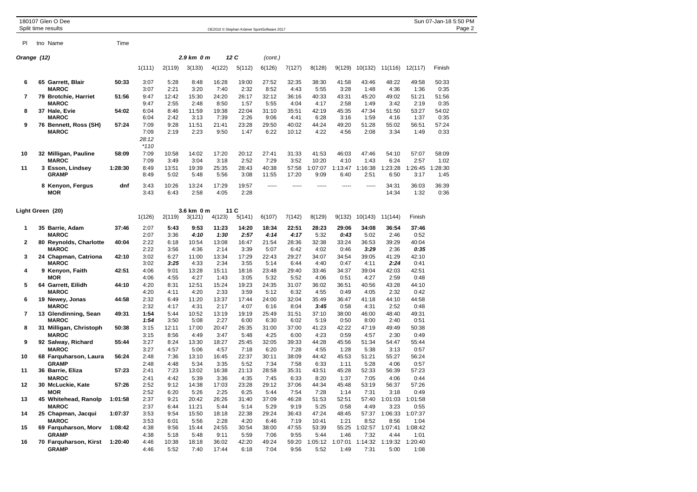|             | 180107 Glen O Dee<br>Split time results               |         |                                 |                       |                       | OE2010 © Stephan Krämer SportSoftware 2017 |                       |                       |                       |                         |                         |                         |                               |                                 | Sun 07-Jan-18 5:50 PM | Page 2 |
|-------------|-------------------------------------------------------|---------|---------------------------------|-----------------------|-----------------------|--------------------------------------------|-----------------------|-----------------------|-----------------------|-------------------------|-------------------------|-------------------------|-------------------------------|---------------------------------|-----------------------|--------|
| PI          | tno Name                                              | Time    |                                 |                       |                       |                                            |                       |                       |                       |                         |                         |                         |                               |                                 |                       |        |
| Orange (12) |                                                       |         |                                 |                       | 2.9 km 0 m            |                                            | 12 C                  | (cont.)               |                       |                         |                         |                         |                               |                                 |                       |        |
|             |                                                       |         | 1(111)                          | 2(119)                | 3(133)                | 4(122)                                     | 5(112)                | 6(126)                | 7(127)                | 8(128)                  | 9(129)                  | 10(132)                 | 11(116)                       | 12(117)                         | Finish                |        |
| 6           | 65 Garrett, Blair<br><b>MAROC</b>                     | 50:33   | 3:07<br>3:07                    | 5:28<br>2:21          | 8:48<br>3:20          | 16:28<br>7:40                              | 19:00<br>2:32         | 27:52<br>8:52         | 32:35<br>4:43         | 38:30<br>5:55           | 41:58<br>3:28           | 43:46<br>1:48           | 48:22<br>4:36                 | 49:58<br>1:36                   | 50:33<br>0:35         |        |
| 7           | 79 Brotchie, Harriet<br><b>MAROC</b>                  | 51:56   | 9:47<br>9:47                    | 12:42<br>2:55         | 15:30<br>2:48         | 24:20<br>8:50                              | 26:17<br>1:57         | 32:12<br>5:55         | 36:16<br>4:04         | 40:33<br>4:17           | 43:31<br>2:58           | 45:20<br>1:49           | 49:02<br>3:42                 | 51:21<br>2:19                   | 51:56<br>0:35         |        |
| 8           | 37 Hale, Evie<br><b>MAROC</b>                         | 54:02   | 6:04<br>6:04                    | 8:46<br>2:42          | 11:59<br>3:13         | 19:38<br>7:39                              | 22:04<br>2:26         | 31:10<br>9:06         | 35:51<br>4:41         | 42:19<br>6:28           | 45:35<br>3:16           | 47:34<br>1:59           | 51:50<br>4:16                 | 53:27<br>1:37                   | 54:02<br>0:35         |        |
| 9           | 76 Bennett, Ross (SH)<br><b>MAROC</b>                 | 57:24   | 7:09<br>7:09<br>28:12<br>$*110$ | 9:28<br>2:19          | 11:51<br>2:23         | 21:41<br>9:50                              | 23:28<br>1:47         | 29:50<br>6:22         | 40:02<br>10:12        | 44:24<br>4:22           | 49:20<br>4:56           | 51:28<br>2:08           | 55:02<br>3:34                 | 56:51<br>1:49                   | 57:24<br>0:33         |        |
| 10          | 32 Milligan, Pauline<br><b>MAROC</b>                  | 58:09   | 7:09<br>7:09                    | 10:58<br>3:49         | 14:02<br>3:04         | 17:20<br>3:18                              | 20:12<br>2:52         | 27:41<br>7:29         | 31:33<br>3:52         | 41:53<br>10:20          | 46:03<br>4:10           | 47:46<br>1:43           | 54:10<br>6:24                 | 57:07<br>2:57                   | 58:09<br>1:02         |        |
| 11          | 3 Esson, Lindsey<br><b>GRAMP</b>                      | 1:28:30 | 8:49<br>8:49                    | 13:51<br>5:02         | 19:39<br>5:48         | 25:35<br>5:56                              | 28:43<br>3:08         | 40:38<br>11:55        | 57:58<br>17:20        | 1:07:07<br>9:09         | 1:13:47<br>6:40         | 1:16:38<br>2:51         | 1:23:28<br>6:50               | 1:26:45<br>3:17                 | 1:28:30<br>1:45       |        |
|             | 8 Kenyon, Fergus<br><b>MOR</b>                        | dnf     | 3:43<br>3:43                    | 10:26<br>6:43         | 13:24<br>2:58         | 17:29<br>4:05                              | 19:57<br>2:28         | -----                 | -----                 | -----                   | -----                   | -----                   | 34:31<br>14:34                | 36:03<br>1:32                   | 36:39<br>0:36         |        |
|             | Light Green (20)                                      |         | 1(126)                          | 2(119)                | 3.6 km 0 m<br>3(121)  | 4(123)                                     | 11 C<br>5(141)        | 6(107)                | 7(142)                | 8(129)                  | 9(132)                  | 10(143)                 | 11(144)                       | Finish                          |                       |        |
| 1           | 35 Barrie, Adam<br><b>MAROC</b>                       | 37:46   | 2:07<br>2:07                    | 5:43<br>3:36          | 9:53<br>4:10          | 11:23<br>1:30                              | 14:20<br>2:57         | 18:34<br>4:14         | 22:51<br>4:17         | 28:23<br>5:32           | 29:06<br>0:43           | 34:08<br>5:02           | 36:54<br>2:46                 | 37:46<br>0:52                   |                       |        |
| 2           | 80 Reynolds, Charlotte<br><b>MAROC</b>                | 40:04   | 2:22<br>2:22                    | 6:18<br>3:56          | 10:54<br>4:36         | 13:08<br>2:14                              | 16:47<br>3:39         | 21:54<br>5:07         | 28:36<br>6:42         | 32:38<br>4:02           | 33:24<br>0:46           | 36:53<br>3:29           | 39:29<br>2:36                 | 40:04<br>0:35                   |                       |        |
| 3           | 24 Chapman, Catriona<br><b>MAROC</b>                  | 42:10   | 3:02<br>3:02                    | 6:27<br>3:25          | 11:00<br>4:33         | 13:34<br>2:34                              | 17:29<br>3:55         | 22:43<br>5:14         | 29:27<br>6:44         | 34:07<br>4:40           | 34:54<br>0:47           | 39:05<br>4:11           | 41:29<br>2:24                 | 42:10<br>0:41                   |                       |        |
| 4           | 9 Kenyon, Faith<br><b>MOR</b>                         | 42:51   | 4:06<br>4:06                    | 9:01<br>4:55          | 13:28<br>4:27         | 15:11<br>1:43                              | 18:16<br>3:05         | 23:48<br>5:32         | 29:40<br>5:52         | 33:46<br>4:06           | 34:37<br>0:51           | 39:04<br>4:27           | 42:03<br>2:59                 | 42:51<br>0:48                   |                       |        |
| 5           | 64 Garrett, Eilidh<br><b>MAROC</b>                    | 44:10   | 4:20<br>4:20                    | 8:31<br>4:11          | 12:51<br>4:20         | 15:24<br>2:33                              | 19:23<br>3:59         | 24:35<br>5:12         | 31:07<br>6:32         | 36:02<br>4:55           | 36:51<br>0:49           | 40:56<br>4:05           | 43:28<br>2:32                 | 44:10<br>0:42                   |                       |        |
| 6           | 19 Newey, Jonas<br><b>MAROC</b>                       | 44:58   | 2:32<br>2:32                    | 6:49<br>4:17          | 11:20<br>4:31         | 13:37<br>2:17                              | 17:44<br>4:07         | 24:00<br>6:16         | 32:04<br>8:04         | 35:49<br>3:45           | 36:47<br>0:58           | 41:18<br>4:31           | 44:10<br>2:52                 | 44:58<br>0:48                   |                       |        |
| 7           | 13 Glendinning, Sean<br><b>MAROC</b>                  | 49:31   | 1:54<br>1:54                    | 5:44<br>3:50          | 10:52<br>5:08         | 13:19<br>2:27                              | 19:19<br>6:00         | 25:49<br>6:30         | 31:51<br>6:02         | 37:10<br>5:19           | 38:00<br>0:50           | 46:00<br>8:00           | 48:40<br>2:40                 | 49:31<br>0:51                   |                       |        |
| 8           | 31 Milligan, Christoph<br><b>MAROC</b>                | 50:38   | 3:15<br>3:15                    | 12:11<br>8:56         | 17:00<br>4:49         | 20:47<br>3:47                              | 26:35<br>5:48         | 31:00<br>4:25         | 37:00<br>6:00         | 41:23<br>4:23           | 42:22<br>0:59           | 47:19<br>4:57           | 49:49<br>2:30                 | 50:38<br>0:49                   |                       |        |
| 9           | 92 Salway, Richard<br><b>MAROC</b>                    | 55:44   | 3:27                            | 8:24                  | 13:30                 | 18:27                                      | 25:45                 | 32:05                 | 39:33                 | 44:28                   | 45:56                   | 51:34                   | 54:47                         | 55:44                           |                       |        |
| 10          | 68 Farquharson, Laura                                 | 56:24   | 3:27<br>2:48                    | 4:57<br>7:36          | 5:06<br>13:10         | 4:57<br>16:45                              | 7:18<br>22:37         | 6:20<br>30:11         | 7:28<br>38:09         | 4:55<br>44:42           | 1:28<br>45:53           | 5:38<br>51:21           | 3:13<br>55:27                 | 0:57<br>56:24                   |                       |        |
| 11          | <b>GRAMP</b><br>36 Barrie, Eliza                      | 57:23   | 2:48<br>2:41                    | 4:48<br>7:23          | 5:34<br>13:02         | 3:35<br>16:38                              | 5:52<br>21:13         | 7:34<br>28:58         | 7:58<br>35:31         | 6:33<br>43:51           | 1:11<br>45:28           | 5:28<br>52:33           | 4:06<br>56:39                 | 0:57<br>57:23                   |                       |        |
| 12          | <b>MAROC</b><br>30 McLuckie, Kate                     | 57:26   | 2:41<br>2:52                    | 4:42<br>9:12          | 5:39<br>14:38         | 3:36<br>17:03                              | 4:35<br>23:28         | 7:45<br>29:12         | 6:33<br>37:06         | 8:20<br>44:34           | 1:37<br>45:48           | 7:05<br>53:19           | 4:06<br>56:37                 | 0:44<br>57:26                   |                       |        |
| 13          | <b>MOR</b><br>45 Whitehead, Ranolp                    | 1:01:58 | 2:52<br>2:37                    | 6:20<br>9:21          | 5:26<br>20:42         | 2:25<br>26:26                              | 6:25<br>31:40         | 5:44<br>37:09         | 7:54<br>46:28         | 7:28<br>51:53           | 1:14<br>52:51           | 7:31<br>57:40           | 3:18<br>1:01:03               | 0:49<br>1:01:58                 |                       |        |
| 14          | <b>MAROC</b><br>25 Chapman, Jacqui                    | 1:07:37 | 2:37<br>3:53                    | 6:44<br>9:54          | 11:21<br>15:50        | 5:44<br>18:18                              | 5:14<br>22:38         | 5:29<br>29:24         | 9:19<br>36:43         | 5:25<br>47:24           | 0:58<br>48:45           | 4:49                    | 3:23<br>57:37 1:06:33 1:07:37 | 0:55                            |                       |        |
| 15          | <b>MAROC</b><br>69 Farquharson, Morv                  | 1:08:42 | 3:53<br>4:38                    | 6:01<br>9:56          | 5:56<br>15:44         | 2:28<br>24:55                              | 4:20<br>30:54         | 6:46<br>38:00         | 7:19<br>47:55         | 10:41<br>53:39          | 1:21<br>55:25           | 8:52<br>1:02:57         | 8:56<br>1:07:41               | 1:04<br>1:08:42                 |                       |        |
| 16          | <b>GRAMP</b><br>70 Farquharson, Kirst<br><b>GRAMP</b> | 1:20:40 | 4:38<br>4:46<br>4:46            | 5:18<br>10:38<br>5:52 | 5:48<br>18:18<br>7:40 | 9:11<br>36:02<br>17:44                     | 5:59<br>42:20<br>6:18 | 7:06<br>49:24<br>7:04 | 9:55<br>59:20<br>9:56 | 5:44<br>1:05:12<br>5:52 | 1:46<br>1:07:01<br>1:49 | 7:32<br>1:14:32<br>7:31 | 4:44<br>5:00                  | 1:01<br>1:19:32 1:20:40<br>1:08 |                       |        |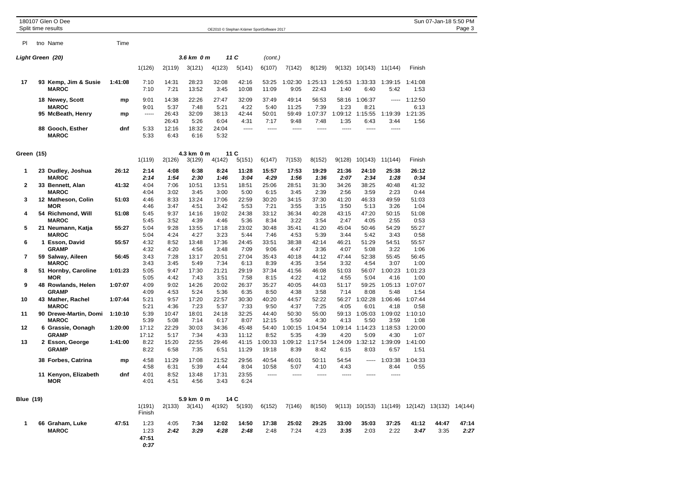|                  | 180107 Glen O Dee<br>Split time results |         |                               |                        |                       |                             |                     | OE2010 © Stephan Krämer SportSoftware 2017 |                 |                     |                     |                         |                     |                                                | Sun 07-Jan-18 5:50 PM | Page 3        |
|------------------|-----------------------------------------|---------|-------------------------------|------------------------|-----------------------|-----------------------------|---------------------|--------------------------------------------|-----------------|---------------------|---------------------|-------------------------|---------------------|------------------------------------------------|-----------------------|---------------|
| PI               | tno Name                                | Time    |                               |                        |                       |                             |                     |                                            |                 |                     |                     |                         |                     |                                                |                       |               |
|                  | Light Green (20)                        |         |                               |                        | 3.6 km 0 m            |                             | 11 C                | (cont.)                                    |                 |                     |                     |                         |                     |                                                |                       |               |
|                  |                                         |         | 1(126)                        | 2(119)                 | 3(121)                | 4(123)                      | 5(141)              | 6(107)                                     | 7(142)          | 8(129)              | 9(132)              | 10(143)                 | 11(144)             | Finish                                         |                       |               |
| 17               | 93 Kemp, Jim & Susie<br><b>MAROC</b>    | 1:41:08 | 7:10<br>7:10                  | 14:31<br>7:21          | 28:23<br>13:52        | 32:08<br>3:45               | 42:16<br>10:08      | 53:25<br>11:09                             | 1:02:30<br>9:05 | 1:25:13<br>22:43    | 1:26:53<br>1:40     | 1:33:33<br>6:40         | 1:39:15<br>5:42     | 1:41:08<br>1:53                                |                       |               |
|                  | 18 Newey, Scott                         | mp      | 9:01                          | 14:38                  | 22:26                 | 27:47                       | 32:09               | 37:49                                      | 49:14           | 56:53               |                     | 58:16 1:06:37           | -----               | 1:12:50                                        |                       |               |
|                  | <b>MAROC</b><br>95 McBeath, Henry       | mp      | 9:01<br>1.1.1.1               | 5:37<br>26:43          | 7:48<br>32:09         | 5:21<br>38:13               | 4:22<br>42:44       | 5:40<br>50:01                              | 11:25<br>59:49  | 7:39<br>1:07:37     | 1:23                | 8:21<br>1:09:12 1:15:55 | 1:19:39             | 6:13<br>1:21:35                                |                       |               |
|                  | 88 Gooch, Esther<br><b>MAROC</b>        | dnf     | 5:33<br>5:33                  | 26:43<br>12:16<br>6:43 | 5:26<br>18:32<br>6:16 | 6:04<br>24:04<br>5:32       | 4:31<br>$- - - - -$ | 7:17<br>$- - - - -$                        | 9:48<br>-----   | 7:48<br>$- - - - -$ | 1:35<br>$- - - - -$ | 6:43<br>$- - - - -$     | 3:44<br>$- - - - -$ | 1:56                                           |                       |               |
| Green (15)       |                                         |         | 1(119)                        | 2(126)                 | 4.3 km 0 m<br>3(129)  |                             | 11C                 |                                            |                 | 8(152)              | 9(128)              | 10(143)                 | 11(144)             | Finish                                         |                       |               |
| 1                | 23 Dudley, Joshua                       | 26:12   | 2:14                          | 4:08                   | 6:38                  | 4(142)<br>8:24              | 5(151)<br>11:28     | 6(147)<br>15:57                            | 7(153)<br>17:53 | 19:29               | 21:36               | 24:10                   | 25:38               | 26:12                                          |                       |               |
| 2                | <b>MAROC</b><br>33 Bennett, Alan        | 41:32   | 2:14<br>4:04                  | 1:54<br>7:06           | 2:30<br>10:51         | 1:46<br>13:51               | 3:04<br>18:51       | 4:29<br>25:06                              | 1:56<br>28:51   | 1:36<br>31:30       | 2:07<br>34:26       | 2:34<br>38:25           | 1:28<br>40:48       | 0:34<br>41:32                                  |                       |               |
|                  | <b>MAROC</b>                            |         | 4:04                          | 3:02                   | 3:45                  | 3:00                        | 5:00                | 6:15                                       | 3:45            | 2:39                | 2:56                | 3:59                    | 2:23                | 0:44                                           |                       |               |
| 3                | 12 Matheson, Colin                      | 51:03   | 4:46                          | 8:33                   | 13:24                 | 17:06                       | 22:59               | 30:20                                      | 34:15           | 37:30               | 41:20               | 46:33                   | 49:59               | 51:03                                          |                       |               |
|                  | MOR                                     |         | 4:46                          | 3:47                   | 4:51                  | 3:42                        | 5:53                | 7:21                                       | 3:55            | 3:15                | 3:50                | 5:13                    | 3:26                | 1:04                                           |                       |               |
| 4                | 54 Richmond, Will<br><b>MAROC</b>       | 51:08   | 5:45<br>5:45                  | 9:37<br>3:52           | 14:16<br>4:39         | 19:02<br>4:46               | 24:38<br>5:36       | 33:12<br>8:34                              | 36:34<br>3:22   | 40:28<br>3:54       | 43:15<br>2:47       | 47:20<br>4:05           | 50:15<br>2:55       | 51:08<br>0:53                                  |                       |               |
| 5                | 21 Neumann, Katja                       | 55:27   | 5:04                          | 9:28                   | 13:55                 | 17:18                       | 23:02               | 30:48                                      | 35:41           | 41:20               | 45:04               | 50:46                   | 54:29               | 55:27                                          |                       |               |
|                  | <b>MAROC</b>                            |         | 5:04                          | 4:24                   | 4:27                  | 3:23                        | 5:44                | 7:46                                       | 4:53            | 5:39                | 3:44                | 5:42                    | 3:43                | 0:58                                           |                       |               |
| 6                | 1 Esson, David<br><b>GRAMP</b>          | 55:57   | 4:32<br>4:32                  | 8:52<br>4:20           | 13:48<br>4:56         | 17:36<br>3:48               | 24:45<br>7:09       | 33:51<br>9:06                              | 38:38<br>4:47   | 42:14<br>3:36       | 46:21<br>4:07       | 51:29<br>5:08           | 54:51<br>3:22       | 55:57<br>1:06                                  |                       |               |
| 7                | 59 Salway, Aileen                       | 56:45   | 3:43                          | 7:28                   | 13:17                 | 20:51                       | 27:04               | 35:43                                      | 40:18           | 44:12               | 47:44               | 52:38                   | 55:45               | 56:45                                          |                       |               |
|                  | <b>MAROC</b>                            |         | 3:43                          | 3:45                   | 5:49                  | 7:34                        | 6:13                | 8:39                                       | 4:35            | 3:54                | 3:32                | 4:54                    | 3:07                | 1:00                                           |                       |               |
| 8                | 51 Hornby, Caroline<br>MOR              | 1:01:23 | 5:05<br>5:05                  | 9:47<br>4:42           | 17:30<br>7:43         | 21:21<br>3:51               | 29:19<br>7:58       | 37:34<br>8:15                              | 41:56<br>4:22   | 46:08<br>4:12       | 51:03<br>4:55       | 56:07<br>5:04           | 1:00:23<br>4:16     | 1:01:23<br>1:00                                |                       |               |
| 9                | 48 Rowlands, Helen                      | 1:07:07 | 4:09                          | 9:02                   | 14:26                 | 20:02                       | 26:37               | 35:27                                      | 40:05           | 44:03               | 51:17               | 59:25                   | 1:05:13             | 1:07:07                                        |                       |               |
|                  | <b>GRAMP</b>                            |         | 4:09                          | 4:53                   | 5:24                  | 5:36                        | 6:35                | 8:50                                       | 4:38            | 3:58                | 7:14                | 8:08                    | 5:48                | 1:54                                           |                       |               |
| 10               | 43 Mather, Rachel<br><b>MAROC</b>       | 1:07:44 | 5:21<br>5:21                  | 9:57<br>4:36           | 17:20<br>7:23         | 22:57<br>5:37               | 30:30<br>7:33       | 40:20<br>9:50                              | 44:57<br>4:37   | 52:22<br>7:25       | 56:27<br>4:05       | 1:02:28<br>6:01         | 1:06:46<br>4:18     | 1:07:44<br>0:58                                |                       |               |
| 11               | 90 Drewe-Martin, Domi                   | 1:10:10 | 5:39                          | 10:47                  | 18:01                 | 24:18                       | 32:25               | 44:40                                      | 50:30           | 55:00               |                     | 59:13 1:05:03           |                     | 1:09:02 1:10:10                                |                       |               |
|                  | <b>MAROC</b>                            |         | 5:39                          | 5:08                   | 7:14                  | 6:17                        | 8:07                | 12:15                                      | 5:50            | 4:30                | 4:13                | 5:50                    | 3:59                | 1:08                                           |                       |               |
| 12               | 6 Grassie, Oonagh                       | 1:20:00 | 17:12                         | 22:29                  | 30:03                 | 34:36                       | 45:48               | 54:40                                      | 1:00:15         | 1:04:54             |                     | 1:09:14 1:14:23         | 1:18:53             | 1:20:00                                        |                       |               |
| 13               | <b>GRAMP</b><br>2 Esson, George         | 1:41:00 | 17:12<br>8:22                 | 5:17<br>15:20          | 7:34<br>22:55         | 4:33<br>29:46               | 11:12<br>41:15      | 8:52<br>1:00:33                            | 5:35<br>1:09:12 | 4:39<br>1:17:54     | 4:20<br>1:24:09     | 5:09<br>1:32:12         | 4:30<br>1:39:09     | 1:07<br>1:41:00                                |                       |               |
|                  | <b>GRAMP</b>                            |         | 8:22                          | 6:58                   | 7:35                  | 6:51                        | 11:29               | 19:18                                      | 8:39            | 8:42                | 6:15                | 8:03                    | 6:57                | 1:51                                           |                       |               |
|                  | 38 Forbes, Catrina                      | mp      | 4:58                          | 11:29                  | 17:08                 | 21:52                       | 29:56               | 40:54                                      | 46:01           | 50:11               | 54:54               | -----                   | 1:03:38             | 1:04:33                                        |                       |               |
|                  |                                         |         | 4:58                          | 6:31                   | 5:39                  | 4:44                        | 8:04                | 10:58                                      | 5:07            | 4:10                | 4:43                |                         | 8:44                | 0:55                                           |                       |               |
|                  | 11 Kenyon, Elizabeth<br>MOR             | dnf     | 4:01<br>4:01                  | 8:52<br>4:51           | 13:48<br>4:56         | 17:31<br>3:43               | 23:55<br>6:24       | -----                                      | -----           | $- - - - -$         | $- - - - -$         | $- - - - -$             | $- - - - -$         |                                                |                       |               |
| <b>Blue (19)</b> |                                         |         |                               |                        | 5.9 km 0 m            |                             | 14 C                |                                            |                 |                     |                     |                         |                     |                                                |                       |               |
|                  |                                         |         | 1(191)<br>Finish              |                        |                       | 2(133) 3(141) 4(192) 5(193) |                     | 6(152)                                     | 7(146)          | 8(150)              |                     |                         |                     | 9(113) 10(153) 11(149) 12(142) 13(132) 14(144) |                       |               |
| 1                | 66 Graham, Luke<br><b>MAROC</b>         | 47:51   | 1:23<br>1:23<br>47:51<br>0:37 | 4:05<br>2:42           | 7:34<br>3:29          | 12:02<br>4:28               | 14:50<br>2:48       | 17:38<br>2:48                              | 25:02<br>7:24   | 29:25<br>4:23       | 33:00<br>3:35       | 35:03<br>2:03           | 37:25<br>2:22       | 41:12<br>3:47                                  | 44:47<br>3:35         | 47:14<br>2:27 |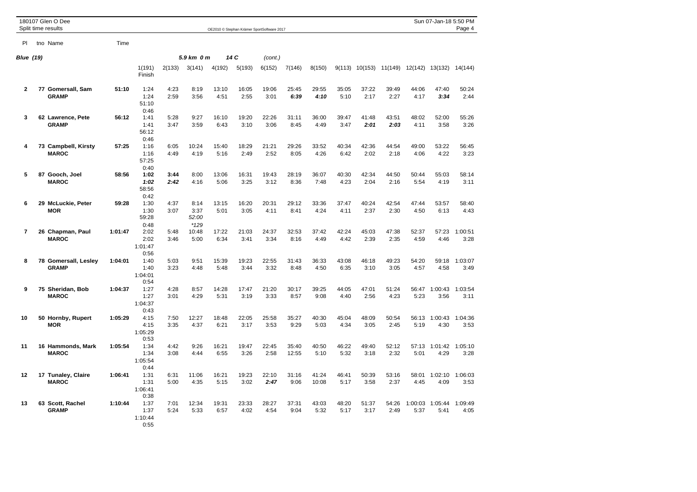|                  | 180107 Glen O Dee<br>Split time results |         |                                 |              |                                 |               |               | OE2010 @ Stephan Krämer SportSoftware 2017 |                |                |               |               |               |                 | Sun 07-Jan-18 5:50 PM | Page 4          |
|------------------|-----------------------------------------|---------|---------------------------------|--------------|---------------------------------|---------------|---------------|--------------------------------------------|----------------|----------------|---------------|---------------|---------------|-----------------|-----------------------|-----------------|
| PI               | tno Name                                | Time    |                                 |              |                                 |               |               |                                            |                |                |               |               |               |                 |                       |                 |
| <b>Blue</b> (19) |                                         |         |                                 |              | 5.9 km 0 m                      |               | 14 C          | (cont.)                                    |                |                |               |               |               |                 |                       |                 |
|                  |                                         |         | 1(191)<br>Finish                | 2(133)       | 3(141)                          | 4(192)        | 5(193)        | 6(152)                                     | 7(146)         | 8(150)         | 9(113)        | 10(153)       | 11(149)       | 12(142)         | 13(132)               | 14(144)         |
| $\mathbf{2}$     | 77 Gomersall, Sam<br><b>GRAMP</b>       | 51:10   | 1:24<br>1:24<br>51:10<br>0:46   | 4:23<br>2:59 | 8:19<br>3:56                    | 13:10<br>4:51 | 16:05<br>2:55 | 19:06<br>3:01                              | 25:45<br>6:39  | 29:55<br>4:10  | 35:05<br>5:10 | 37:22<br>2:17 | 39:49<br>2:27 | 44:06<br>4:17   | 47:40<br>3:34         | 50:24<br>2:44   |
| 3                | 62 Lawrence, Pete<br><b>GRAMP</b>       | 56:12   | 1:41<br>1:41<br>56:12<br>0:46   | 5:28<br>3:47 | 9:27<br>3:59                    | 16:10<br>6:43 | 19:20<br>3:10 | 22:26<br>3:06                              | 31:11<br>8:45  | 36:00<br>4:49  | 39:47<br>3:47 | 41:48<br>2:01 | 43:51<br>2:03 | 48:02<br>4:11   | 52:00<br>3:58         | 55:26<br>3:26   |
| 4                | 73 Campbell, Kirsty<br><b>MAROC</b>     | 57:25   | 1:16<br>1:16<br>57:25<br>0:40   | 6:05<br>4:49 | 10:24<br>4:19                   | 15:40<br>5:16 | 18:29<br>2:49 | 21:21<br>2:52                              | 29:26<br>8:05  | 33:52<br>4:26  | 40:34<br>6:42 | 42:36<br>2:02 | 44:54<br>2:18 | 49:00<br>4:06   | 53:22<br>4:22         | 56:45<br>3:23   |
| 5                | 87 Gooch, Joel<br><b>MAROC</b>          | 58:56   | 1:02<br>1:02<br>58:56<br>0:42   | 3:44<br>2:42 | 8:00<br>4:16                    | 13:06<br>5:06 | 16:31<br>3:25 | 19:43<br>3:12                              | 28:19<br>8:36  | 36:07<br>7:48  | 40:30<br>4:23 | 42:34<br>2:04 | 44:50<br>2:16 | 50:44<br>5:54   | 55:03<br>4:19         | 58:14<br>3:11   |
| 6                | 29 McLuckie, Peter<br><b>MOR</b>        | 59:28   | 1:30<br>1:30<br>59:28<br>0:48   | 4:37<br>3:07 | 8:14<br>3:37<br>52:00<br>$*129$ | 13:15<br>5:01 | 16:20<br>3:05 | 20:31<br>4:11                              | 29:12<br>8:41  | 33:36<br>4:24  | 37:47<br>4:11 | 40:24<br>2:37 | 42:54<br>2:30 | 47:44<br>4:50   | 53:57<br>6:13         | 58:40<br>4:43   |
| $\overline{7}$   | 26 Chapman, Paul<br><b>MAROC</b>        | 1:01:47 | 2:02<br>2:02<br>1:01:47<br>0:56 | 5:48<br>3:46 | 10:48<br>5:00                   | 17:22<br>6:34 | 21:03<br>3:41 | 24:37<br>3:34                              | 32:53<br>8:16  | 37:42<br>4:49  | 42:24<br>4:42 | 45:03<br>2:39 | 47:38<br>2:35 | 52:37<br>4:59   | 57:23<br>4:46         | 1:00:51<br>3:28 |
| 8                | 78 Gomersall, Lesley<br><b>GRAMP</b>    | 1:04:01 | 1:40<br>1:40<br>1:04:01<br>0:54 | 5:03<br>3:23 | 9:51<br>4:48                    | 15:39<br>5:48 | 19:23<br>3:44 | 22:55<br>3:32                              | 31:43<br>8:48  | 36:33<br>4:50  | 43:08<br>6:35 | 46:18<br>3:10 | 49:23<br>3:05 | 54:20<br>4:57   | 59:18<br>4:58         | 1:03:07<br>3:49 |
| 9                | 75 Sheridan, Bob<br><b>MAROC</b>        | 1:04:37 | 1:27<br>1:27<br>1:04:37<br>0:43 | 4:28<br>3:01 | 8:57<br>4:29                    | 14:28<br>5:31 | 17:47<br>3:19 | 21:20<br>3:33                              | 30:17<br>8:57  | 39:25<br>9:08  | 44:05<br>4:40 | 47:01<br>2:56 | 51:24<br>4:23 | 56:47<br>5:23   | 1:00:43<br>3:56       | 1:03:54<br>3:11 |
| 10               | 50 Hornby, Rupert<br><b>MOR</b>         | 1:05:29 | 4:15<br>4:15<br>1:05:29<br>0:53 | 7:50<br>3:35 | 12:27<br>4:37                   | 18:48<br>6:21 | 22:05<br>3:17 | 25:58<br>3:53                              | 35:27<br>9:29  | 40:30<br>5:03  | 45:04<br>4:34 | 48:09<br>3:05 | 50:54<br>2:45 | 56:13<br>5:19   | 1:00:43<br>4:30       | 1:04:36<br>3:53 |
| 11               | 16 Hammonds, Mark<br><b>MAROC</b>       | 1:05:54 | 1:34<br>1:34<br>1:05:54<br>0:44 | 4:42<br>3:08 | 9:26<br>4:44                    | 16:21<br>6:55 | 19:47<br>3:26 | 22:45<br>2:58                              | 35:40<br>12:55 | 40:50<br>5:10  | 46:22<br>5:32 | 49:40<br>3:18 | 52:12<br>2:32 | 57:13<br>5:01   | 1:01:42<br>4:29       | 1:05:10<br>3:28 |
| 12               | 17 Tunaley, Claire<br><b>MAROC</b>      | 1:06:41 | 1:31<br>1:31<br>1:06:41<br>0:38 | 6:31<br>5:00 | 11:06<br>4:35                   | 16:21<br>5:15 | 19:23<br>3:02 | 22:10<br>2:47                              | 31:16<br>9:06  | 41:24<br>10:08 | 46:41<br>5:17 | 50:39<br>3:58 | 53:16<br>2:37 | 58:01<br>4:45   | 1:02:10<br>4:09       | 1:06:03<br>3:53 |
| 13               | 63 Scott, Rachel<br><b>GRAMP</b>        | 1:10:44 | 1:37<br>1:37<br>1:10:44<br>0:55 | 7:01<br>5:24 | 12:34<br>5:33                   | 19:31<br>6:57 | 23:33<br>4:02 | 28:27<br>4:54                              | 37:31<br>9:04  | 43:03<br>5:32  | 48:20<br>5:17 | 51:37<br>3:17 | 54:26<br>2:49 | 1:00:03<br>5:37 | 1:05:44<br>5:41       | 1:09:49<br>4:05 |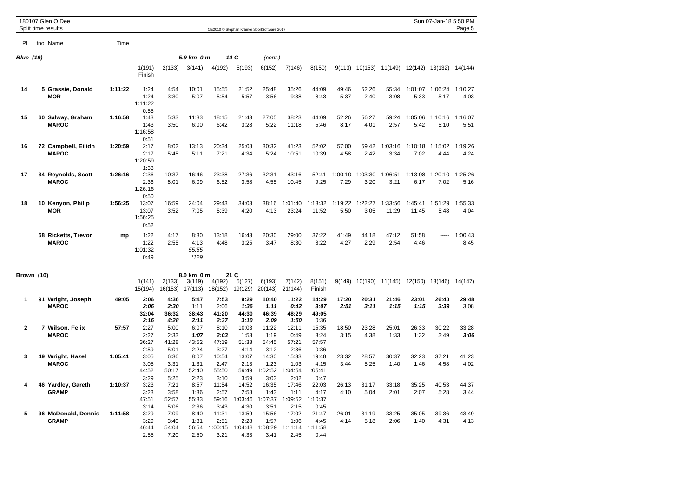|                  | 180107 Glen O Dee<br>Split time results |         |                                   |                               |                                 |                                  |                                  | OE2010 © Stephan Krämer SportSoftware 2017 |                                  |                                  |                 |                 |                                                |                  | Sun 07-Jan-18 5:50 PM | Page 5          |
|------------------|-----------------------------------------|---------|-----------------------------------|-------------------------------|---------------------------------|----------------------------------|----------------------------------|--------------------------------------------|----------------------------------|----------------------------------|-----------------|-----------------|------------------------------------------------|------------------|-----------------------|-----------------|
| PI               | tno Name                                | Time    |                                   |                               |                                 |                                  |                                  |                                            |                                  |                                  |                 |                 |                                                |                  |                       |                 |
|                  |                                         |         |                                   |                               |                                 |                                  |                                  |                                            |                                  |                                  |                 |                 |                                                |                  |                       |                 |
| <b>Blue</b> (19) |                                         |         |                                   |                               | 5.9 km 0 m                      |                                  | 14 C                             | (cont.)                                    |                                  |                                  |                 |                 |                                                |                  |                       |                 |
|                  |                                         |         | 1(191)<br>Finish                  | 2(133)                        | 3(141)                          | 4(192)                           | 5(193)                           | 6(152)                                     | 7(146)                           | 8(150)                           |                 |                 | 9(113) 10(153) 11(149) 12(142) 13(132) 14(144) |                  |                       |                 |
| 14               | 5 Grassie, Donald<br><b>MOR</b>         | 1:11:22 | 1:24<br>1:24<br>1:11:22<br>0:55   | 4:54<br>3:30                  | 10:01<br>5:07                   | 15:55<br>5:54                    | 21:52<br>5:57                    | 25:48<br>3:56                              | 35:26<br>9:38                    | 44:09<br>8:43                    | 49:46<br>5:37   | 52:26<br>2:40   | 55:34<br>3:08                                  | 1:01:07<br>5:33  | 1:06:24<br>5:17       | 1:10:27<br>4:03 |
| 15               | 60 Salway, Graham<br><b>MAROC</b>       | 1:16:58 | 1:43<br>1:43<br>1:16:58<br>0:51   | 5:33<br>3:50                  | 11:33<br>6:00                   | 18:15<br>6:42                    | 21:43<br>3:28                    | 27:05<br>5:22                              | 38:23<br>11:18                   | 44:09<br>5:46                    | 52:26<br>8:17   | 56:27<br>4:01   | 59:24<br>2:57                                  | 1:05:06<br>5:42  | 1:10:16<br>5:10       | 1:16:07<br>5:51 |
| 16               | 72 Campbell, Eilidh<br><b>MAROC</b>     | 1:20:59 | 2:17<br>2:17<br>1:20:59<br>1:33   | 8:02<br>5:45                  | 13:13<br>5:11                   | 20:34<br>7:21                    | 25:08<br>4:34                    | 30:32<br>5:24                              | 41:23<br>10:51                   | 52:02<br>10:39                   | 57:00<br>4:58   | 59:42<br>2:42   | 1:03:16<br>3:34                                | 1:10:18<br>7:02  | 1:15:02<br>4:44       | 1:19:26<br>4:24 |
| 17               | 34 Reynolds, Scott<br><b>MAROC</b>      | 1:26:16 | 2:36<br>2:36<br>1:26:16<br>0:50   | 10:37<br>8:01                 | 16:46<br>6:09                   | 23:38<br>6:52                    | 27:36<br>3:58                    | 32:31<br>4:55                              | 43:16<br>10:45                   | 52:41<br>9:25                    | 1:00:10<br>7:29 | 1:03:30<br>3:20 | 1:06:51<br>3:21                                | 1:13:08<br>6:17  | 1:20:10<br>7:02       | 1:25:26<br>5:16 |
| 18               | 10 Kenyon, Philip<br><b>MOR</b>         | 1:56:25 | 13:07<br>13:07<br>1:56:25<br>0:52 | 16:59<br>3:52                 | 24:04<br>7:05                   | 29:43<br>5:39                    | 34:03<br>4:20                    | 38:16<br>4:13                              | 1:01:40<br>23:24                 | 1:13:32<br>11:52                 | 1:19:22<br>5:50 | 1:22:27<br>3:05 | 1:33:56<br>11:29                               | 1:45:41<br>11:45 | 1:51:29<br>5:48       | 1:55:33<br>4:04 |
|                  | 58 Ricketts, Trevor<br><b>MAROC</b>     | mp      | 1:22<br>1:22<br>1:01:32<br>0:49   | 4:17<br>2:55                  | 8:30<br>4:13<br>55:55<br>$*129$ | 13:18<br>4:48                    | 16:43<br>3:25                    | 20:30<br>3:47                              | 29:00<br>8:30                    | 37:22<br>8:22                    | 41:49<br>4:27   | 44:18<br>2:29   | 47:12<br>2:54                                  | 51:58<br>4:46    |                       | 1:00:43<br>8:45 |
| Brown (10)       |                                         |         | 1(141)<br>15(194)                 | 2(133)<br>16(153)             | 8.0 km 0 m<br>3(119)<br>17(113) | 4(192)<br>18(152)                | 21 C<br>5(127)<br>19(129)        | 6(193)<br>20(143)                          | 7(142)<br>21(144)                | 8(151)<br>Finish                 | 9(149)          | 10(190)         | 11(145)                                        | 12(150)          | 13(146)               | 14(147)         |
| 1                | 91 Wright, Joseph<br><b>MAROC</b>       | 49:05   | 2:06<br>2:06<br>32:04<br>2:16     | 4:36<br>2:30<br>36:32<br>4:28 | 5:47<br>1:11<br>38:43<br>2:11   | 7:53<br>2:06<br>41:20<br>2:37    | 9:29<br>1:36<br>44:30<br>3:10    | 10:40<br>1:11<br>46:39<br>2:09             | 11:22<br>0:42<br>48:29<br>1:50   | 14:29<br>3:07<br>49:05<br>0:36   | 17:20<br>2:51   | 20:31<br>3:11   | 21:46<br>1:15                                  | 23:01<br>1:15    | 26:40<br>3:39         | 29:48<br>3:08   |
| 2                | 7 Wilson, Felix<br><b>MAROC</b>         | 57:57   | 2:27<br>2:27<br>36:27<br>2:59     | 5:00<br>2:33<br>41:28<br>5:01 | 6:07<br>1:07<br>43:52<br>2:24   | 8:10<br>2:03<br>47:19<br>3:27    | 10:03<br>1:53<br>51:33<br>4:14   | 11:22<br>1:19<br>54:45<br>3:12             | 12:11<br>0:49<br>57:21<br>2:36   | 15:35<br>3:24<br>57:57<br>0:36   | 18:50<br>3:15   | 23:28<br>4:38   | 25:01<br>1:33                                  | 26:33<br>1:32    | 30:22<br>3:49         | 33:28<br>3:06   |
| 3                | 49 Wright, Hazel<br><b>MAROC</b>        | 1:05:41 | 3:05<br>3:05<br>44:52<br>3:29     | 6:36<br>3:31<br>50:17<br>5:25 | 8:07<br>1:31<br>52:40<br>2:23   | 10:54<br>2:47<br>55:50<br>3:10   | 13:07<br>2:13<br>59:49<br>3:59   | 14:30<br>1:23<br>1:02:52<br>3:03           | 15:33<br>1:03<br>1:04:54<br>2:02 | 19:48<br>4:15<br>1:05:41<br>0:47 | 23:32<br>3:44   | 28:57<br>5:25   | 30:37<br>1:40                                  | 32:23<br>1:46    | 37:21<br>4:58         | 41:23<br>4:02   |
| 4                | 46 Yardley, Gareth<br><b>GRAMP</b>      | 1:10:37 | 3:23<br>3:23<br>47:51<br>3:14     | 7:21<br>3:58<br>52:57<br>5:06 | 8:57<br>1:36<br>55:33<br>2:36   | 11:54<br>2:57<br>59:16<br>3:43   | 14:52<br>2:58<br>1:03:46<br>4:30 | 16:35<br>1:43<br>1:07:37<br>3:51           | 17:46<br>1:11<br>1:09:52<br>2:15 | 22:03<br>4:17<br>1:10:37<br>0:45 | 26:13<br>4:10   | 31:17<br>5:04   | 33:18<br>2:01                                  | 35:25<br>2:07    | 40:53<br>5:28         | 44:37<br>3:44   |
| 5                | 96 McDonald, Dennis<br><b>GRAMP</b>     | 1:11:58 | 3:29<br>3:29<br>46:44<br>2:55     | 7:09<br>3:40<br>54:04<br>7:20 | 8:40<br>1:31<br>56:54<br>2:50   | 11:31<br>2:51<br>1:00:15<br>3:21 | 13:59<br>2:28<br>1:04:48<br>4:33 | 15:56<br>1:57<br>1:08:29<br>3:41           | 17:02<br>1:06<br>1:11:14<br>2:45 | 21:47<br>4:45<br>1:11:58<br>0:44 | 26:01<br>4:14   | 31:19<br>5:18   | 33:25<br>2:06                                  | 35:05<br>1:40    | 39:36<br>4:31         | 43:49<br>4:13   |